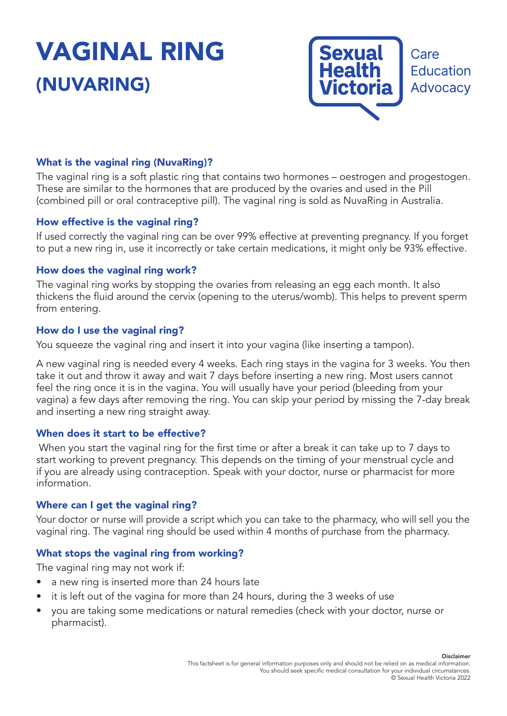# VAGINAL RING (NUVARING)



# What is the vaginal ring (NuvaRing)?

The vaginal ring is a soft plastic ring that contains two hormones – oestrogen and progestogen. These are similar to the hormones that are produced by the ovaries and used in the Pill (combined pill or oral contraceptive pill). The vaginal ring is sold as NuvaRing in Australia.

# How effective is the vaginal ring?

If used correctly the vaginal ring can be over 99% effective at preventing pregnancy. If you forget to put a new ring in, use it incorrectly or take certain medications, it might only be 93% effective.

# How does the vaginal ring work?

The vaginal ring works by stopping the ovaries from releasing an egg each month. It also thickens the fluid around the cervix (opening to the uterus/womb). This helps to prevent sperm from entering.

# How do I use the vaginal ring?

You squeeze the vaginal ring and insert it into your vagina (like inserting a tampon).

A new vaginal ring is needed every 4 weeks. Each ring stays in the vagina for 3 weeks. You then take it out and throw it away and wait 7 days before inserting a new ring. Most users cannot feel the ring once it is in the vagina. You will usually have your period (bleeding from your vagina) a few days after removing the ring. You can skip your period by missing the 7-day break and inserting a new ring straight away.

# When does it start to be effective?

 When you start the vaginal ring for the first time or after a break it can take up to 7 days to start working to prevent pregnancy. This depends on the timing of your menstrual cycle and if you are already using contraception. Speak with your doctor, nurse or pharmacist for more information.

# Where can I get the vaginal ring?

Your doctor or nurse will provide a script which you can take to the pharmacy, who will sell you the vaginal ring. The vaginal ring should be used within 4 months of purchase from the pharmacy.

# What stops the vaginal ring from working?

The vaginal ring may not work if:

- a new ring is inserted more than 24 hours late
- it is left out of the vagina for more than 24 hours, during the 3 weeks of use
- you are taking some medications or natural remedies (check with your doctor, nurse or pharmacist).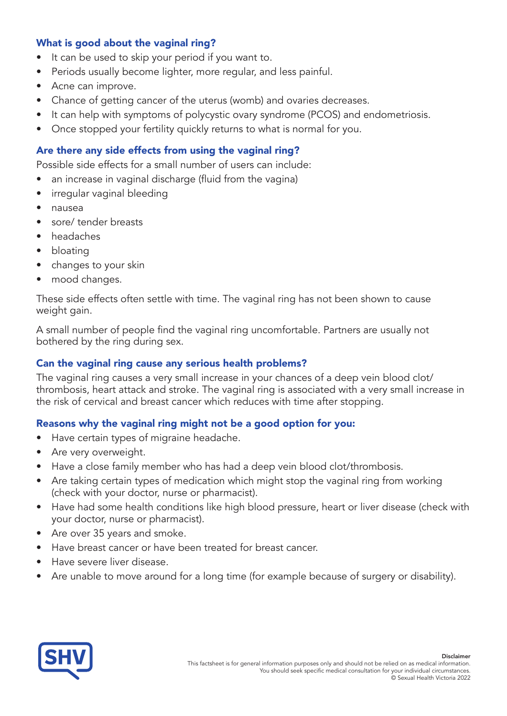# What is good about the vaginal ring?

- It can be used to skip your period if you want to.
- Periods usually become lighter, more regular, and less painful.
- Acne can improve.
- Chance of getting cancer of the uterus (womb) and ovaries decreases.
- It can help with symptoms of polycystic ovary syndrome (PCOS) and endometriosis.
- Once stopped your fertility quickly returns to what is normal for you.

# Are there any side effects from using the vaginal ring?

Possible side effects for a small number of users can include:

- an increase in vaginal discharge (fluid from the vagina)
- irregular vaginal bleeding
- nausea
- sore/ tender breasts
- headaches
- bloating
- changes to your skin
- mood changes.

These side effects often settle with time. The vaginal ring has not been shown to cause weight gain.

A small number of people find the vaginal ring uncomfortable. Partners are usually not bothered by the ring during sex.

# Can the vaginal ring cause any serious health problems?

The vaginal ring causes a very small increase in your chances of a deep vein blood clot/ thrombosis, heart attack and stroke. The vaginal ring is associated with a very small increase in the risk of cervical and breast cancer which reduces with time after stopping.

# Reasons why the vaginal ring might not be a good option for you:

- Have certain types of migraine headache.
- Are very overweight.
- Have a close family member who has had a deep vein blood clot/thrombosis.
- Are taking certain types of medication which might stop the vaginal ring from working (check with your doctor, nurse or pharmacist).
- Have had some health conditions like high blood pressure, heart or liver disease (check with your doctor, nurse or pharmacist).
- Are over 35 years and smoke.
- Have breast cancer or have been treated for breast cancer.
- Have severe liver disease.
- Are unable to move around for a long time (for example because of surgery or disability).